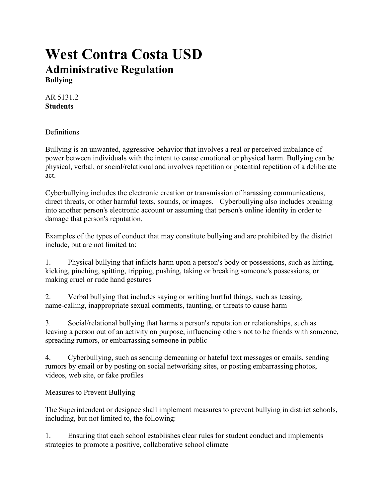# **West Contra Costa USD Administrative Regulation Bullying**

AR 5131.2 **Students**

**Definitions** 

Bullying is an unwanted, aggressive behavior that involves a real or perceived imbalance of power between individuals with the intent to cause emotional or physical harm. Bullying can be physical, verbal, or social/relational and involves repetition or potential repetition of a deliberate act.

Cyberbullying includes the electronic creation or transmission of harassing communications, direct threats, or other harmful texts, sounds, or images. Cyberbullying also includes breaking into another person's electronic account or assuming that person's online identity in order to damage that person's reputation.

Examples of the types of conduct that may constitute bullying and are prohibited by the district include, but are not limited to:

1. Physical bullying that inflicts harm upon a person's body or possessions, such as hitting, kicking, pinching, spitting, tripping, pushing, taking or breaking someone's possessions, or making cruel or rude hand gestures

2. Verbal bullying that includes saying or writing hurtful things, such as teasing, name-calling, inappropriate sexual comments, taunting, or threats to cause harm

3. Social/relational bullying that harms a person's reputation or relationships, such as leaving a person out of an activity on purpose, influencing others not to be friends with someone, spreading rumors, or embarrassing someone in public

4. Cyberbullying, such as sending demeaning or hateful text messages or emails, sending rumors by email or by posting on social networking sites, or posting embarrassing photos, videos, web site, or fake profiles

Measures to Prevent Bullying

The Superintendent or designee shall implement measures to prevent bullying in district schools, including, but not limited to, the following:

1. Ensuring that each school establishes clear rules for student conduct and implements strategies to promote a positive, collaborative school climate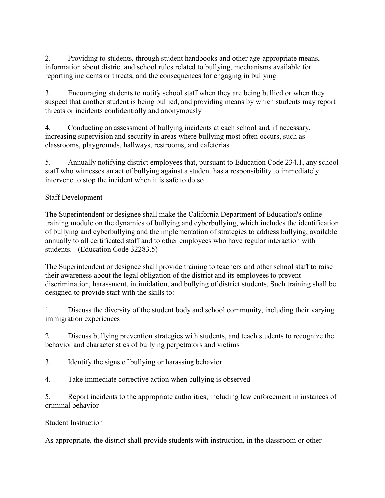2. Providing to students, through student handbooks and other age-appropriate means, information about district and school rules related to bullying, mechanisms available for reporting incidents or threats, and the consequences for engaging in bullying

3. Encouraging students to notify school staff when they are being bullied or when they suspect that another student is being bullied, and providing means by which students may report threats or incidents confidentially and anonymously

4. Conducting an assessment of bullying incidents at each school and, if necessary, increasing supervision and security in areas where bullying most often occurs, such as classrooms, playgrounds, hallways, restrooms, and cafeterias

5. Annually notifying district employees that, pursuant to Education Code 234.1, any school staff who witnesses an act of bullying against a student has a responsibility to immediately intervene to stop the incident when it is safe to do so

## Staff Development

The Superintendent or designee shall make the California Department of Education's online training module on the dynamics of bullying and cyberbullying, which includes the identification of bullying and cyberbullying and the implementation of strategies to address bullying, available annually to all certificated staff and to other employees who have regular interaction with students. (Education Code 32283.5)

The Superintendent or designee shall provide training to teachers and other school staff to raise their awareness about the legal obligation of the district and its employees to prevent discrimination, harassment, intimidation, and bullying of district students. Such training shall be designed to provide staff with the skills to:

1. Discuss the diversity of the student body and school community, including their varying immigration experiences

2. Discuss bullying prevention strategies with students, and teach students to recognize the behavior and characteristics of bullying perpetrators and victims

3. Identify the signs of bullying or harassing behavior

4. Take immediate corrective action when bullying is observed

5. Report incidents to the appropriate authorities, including law enforcement in instances of criminal behavior

### Student Instruction

As appropriate, the district shall provide students with instruction, in the classroom or other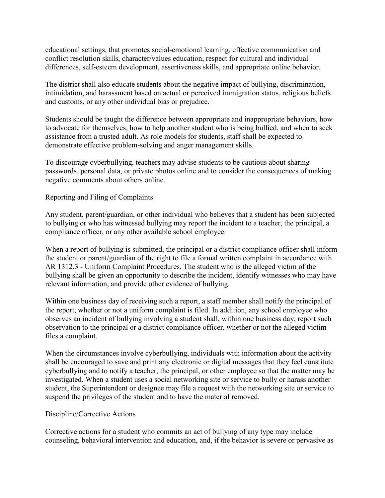educational settings, that promotes social-emotional learning, effective communication and conflict resolution skills, character/values education, respect for cultural and individual differences, self-esteem development, assertiveness skills, and appropriate online behavior.

The district shall also educate students about the negative impact of bullying, discrimination, intimidation, and harassment based on actual or perceived immigration status, religious beliefs and customs, or any other individual bias or prejudice.

Students should be taught the difference between appropriate and inappropriate behaviors, how to advocate for themselves, how to help another student who is being bullied, and when to seek assistance from a trusted adult. As role models for students, staff shall be expected to demonstrate effective problem-solving and anger management skills.

To discourage cyberbullying, teachers may advise students to be cautious about sharing passwords, personal data, or private photos online and to consider the consequences of making negative comments about others online.

#### Reporting and Filing of Complaints

Any student, parent/guardian, or other individual who believes that a student has been subjected to bullying or who has witnessed bullying may report the incident to a teacher, the principal, a compliance officer, or any other available school employee.

When a report of bullying is submitted, the principal or a district compliance officer shall inform the student or parent/guardian of the right to file a formal written complaint in accordance with AR 1312.3 - Uniform Complaint Procedures. The student who is the alleged victim of the bullying shall be given an opportunity to describe the incident, identify witnesses who may have relevant information, and provide other evidence of bullying.

Within one business day of receiving such a report, a staff member shall notify the principal of the report, whether or not a uniform complaint is filed. In addition, any school employee who observes an incident of bullying involving a student shall, within one business day, report such observation to the principal or a district compliance officer, whether or not the alleged victim files a complaint.

When the circumstances involve cyberbullying, individuals with information about the activity shall be encouraged to save and print any electronic or digital messages that they feel constitute cyberbullying and to notify a teacher, the principal, or other employee so that the matter may be investigated. When a student uses a social networking site or service to bully or harass another student, the Superintendent or designee may file a request with the networking site or service to suspend the privileges of the student and to have the material removed.

#### Discipline/Corrective Actions

Corrective actions for a student who commits an act of bullying of any type may include counseling, behavioral intervention and education, and, if the behavior is severe or pervasive as